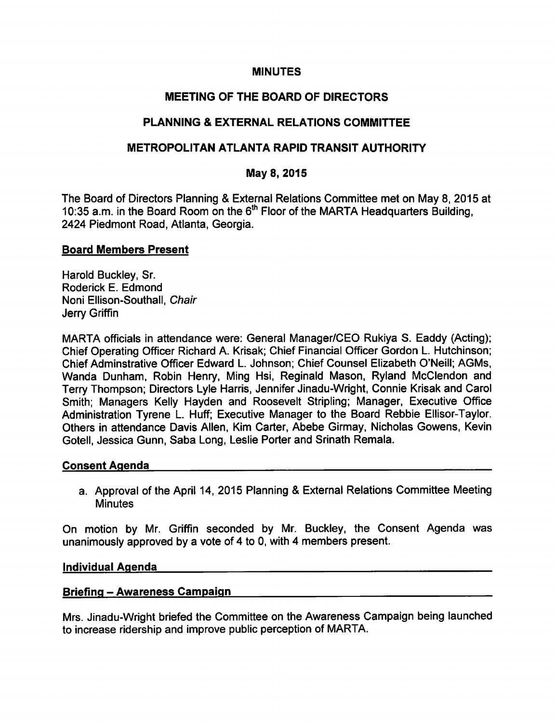### **MINUTES**

# MEETING OF THE BOARD OF DIRECTORS

# PLANNING & EXTERNAL RELATIONS COMMITTEE

### METROPOLITAN ATLANTA RAPID TRANSIT AUTHORITY

### May 8, 2015

The Board of Directors Planning & External Relations Committee met on May 8, 2015 at 10:35 a.m. in the Board Room on the 6<sup>th</sup> Floor of the MARTA Headquarters Building, 2424 Piedmont Road, Atlanta, Georgia.

### Board Members Present

Harold Buckley, Sr. Roderick E. Edmond Noni Ellison-Southall, Chair Jerry Griffin

MARTA officials in attendance were: General Manager/CEO Rukiya S. Eaddy (Acting); Chief Operating Officer Richard A. Krisak; Chief Financial Officer Gordon L. Hutchinson; Chief Adminstrative Officer Edward L. Johnson; Chief Counsel Elizabeth O'Neill; AGMs, Wanda Dunham, Robin Henry, Ming Hsi, Reginald Mason, Ryland McClendon and Terry Thompson; Directors Lyle Harris, Jennifer Jinadu-Wright, Connie Krisak and Carol Smith; Managers Kelly Hayden and Roosevelt Stripling; Manager, Executive Office Administration Tyrene L. Huff; Executive Manager to the Board Rebbie Ellisor-Taylor. Others in attendance Davis Allen, Kim Carter, Abebe Girmay, Nicholas Gowens, Kevin Gotell, Jessica Gunn, Saba Long, Leslie Porter and Srinath Remala.

### Consent Agenda

a. Approval of the April 14, 2015 Planning & External Relations Committee Meeting **Minutes** 

On motion by Mr. Griffin seconded by Mr. Buckley, the Consent Agenda was unanimously approved by a vote of 4 to 0, with 4 members present.

### Individual Agenda

### Briefing - Awareness Campaign Manuscripture and Awareness Campaign

Mrs. Jinadu-Wright briefed the Committee on the Awareness Campaign being launched to increase ridership and improve public perception of MARTA.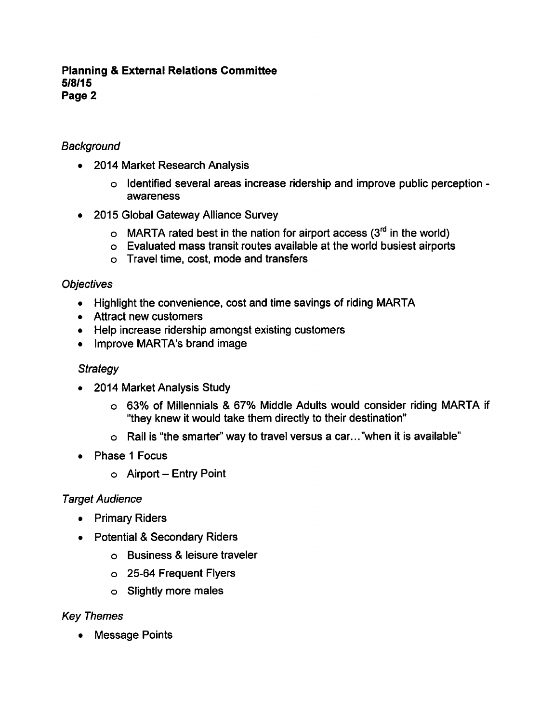### **Background**

- 2014 Market Research Analysis
	- o Identified several areas increase ridership and improve public perception awareness
- 2015 Global Gateway Alliance Survey  $\bullet$ 
	- $\circ$  MARTA rated best in the nation for airport access (3<sup>rd</sup> in the world)
	- Evaluated mass transit routes available at the world busiest airports
	- Travel time, cost, mode and transfers

### **Objectives**

- Highlight the convenience, cost and time savings of riding MARTA
- Attract new customers
- Help increase ridership amongst existing customers
- Improve MARTA's brand image

### **Strategy**

- 2014 Market Analysis Study  $\bullet$ 
	- o 63% of Millennials & 67% Middle Adults would consider riding MARTA if "they knew it would take them directly to their destination"
	- $\circ$  Rail is "the smarter" way to travel versus a car..."when it is available"
- Phase 1 Focus  $\bullet$ 
	- $\circ$  Airport Entry Point

### Target Audience

- Primary Riders
- Potential & Secondary Riders
	- o Business & leisure traveler
	- 25-64 Frequent Flyers
	- Slightly more males

### Key Themes

Message Points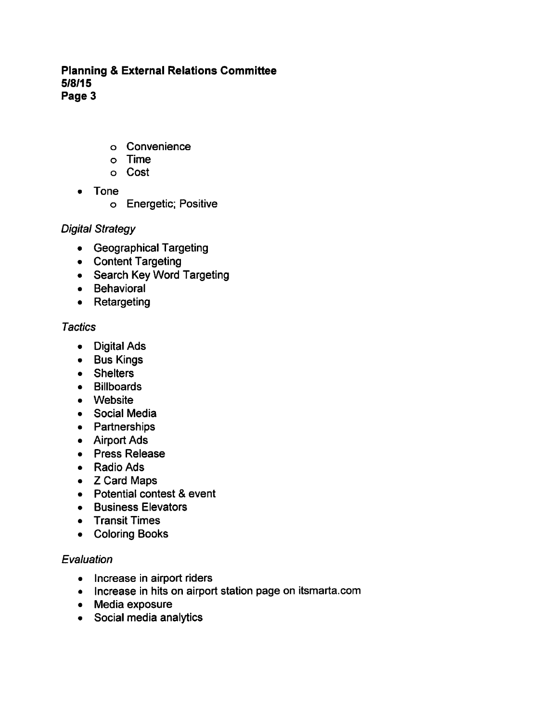- Convenience
- Time
- Cost
- Tone
	- Energetic; Positive

# Digital Strategy

- Geographical Targeting
- Content Targeting
- Search Key Word Targeting
- Behavioral
- Retargeting

# **Tactics**

- Digital Ads
- Bus Kings
- Shelters
- Billboards
- Website
- Social Media
- Partnerships
- Airport Ads
- Press Release
- Radio Ads
- Z Card Maps
- $\bullet$  Potential contest & event
- **•** Business Elevators
- Transit Times  $\bullet$
- Coloring Books

# **Evaluation**

- Increase in airport riders
- Increase in hits on airport station page on itsmarta.com
- Media exposure
- Social media analytics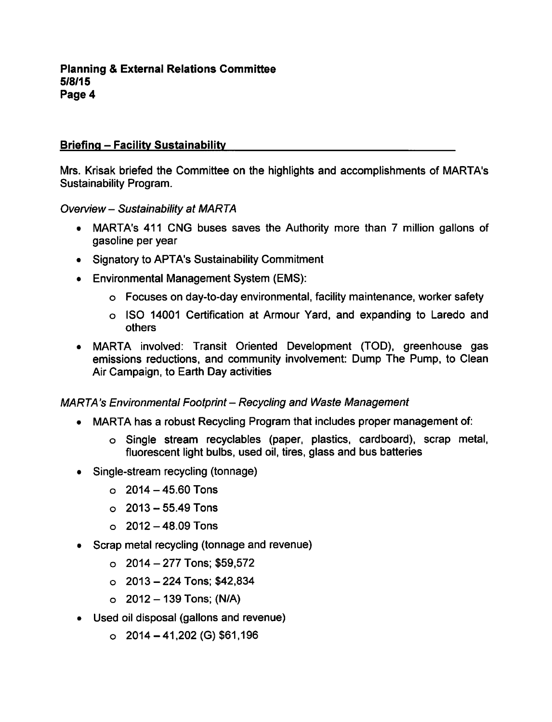### Briefing - Facility Sustainability

Mrs. Krisak briefed the Committee on the highlights and accomplishments of MARTA's Sustainability Program.

Overview- Sustainability at MARTA

- MARTA's 411 CNG buses saves the Authority more than 7 million gallons of gasoline per year
- Signatory to APTA's Sustainability Commitment
- Environmental Management System (EMS):
	- Focuses on day-to-day environmental, facility maintenance, worker safety
	- ISO 14001 Certification at Armour Yard, and expanding to Laredo and others
- MARTA involved: Transit Oriented Development (TOD), greenhouse gas emissions reductions, and community involvement: Dump The Pump, to Clean Air Campaign, to Earth Day activities

### MARTA's Environmental Footprint - Recycling and Waste Management

- MARTA has a robust Recycling Program that includes proper management of:
	- Single stream recyclables (paper, plastics, cardboard), scrap metal, fluorescent light bulbs, used oil, tires, glass and bus batteries
- Single-stream recycling (tonnage)
	- $\circ$  2014 45.60 Tons
	- $0.2013 55.49$  Tons
	- $0.2012 48.09$  Tons
- Scrap metal recycling (tonnage and revenue)
	- $\circ$  2014 277 Tons; \$59,572
	- $\circ$  2013 224 Tons; \$42,834
	- $O$  2012 139 Tons; (N/A)
- Used oil disposal (gallons and revenue)
	- $O$  2014 41,202 (G) \$61,196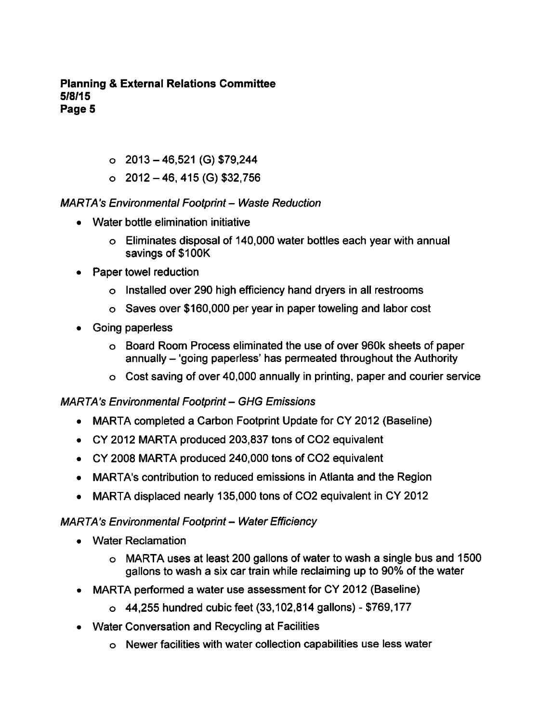- $\circ$  2013 46,521 (G) \$79,244
- $\circ$  2012 46, 415 (G) \$32,756

### MARTA's Environmental Footprint - Waste Reduction

- Water bottle elimination initiative
	- Eliminates disposal of 140,000 water bottles each year with annual savings of \$100K
- Paper towel reduction
	- Installed over 290 high efficiency hand dryers in all restrooms
	- Saves over \$160,000 per year in paper toweling and labor cost
- Going paperless
	- Board Room Process eliminated the use of over 960k sheets of paper annually - 'going paperless' has permeated throughout the Authority
	- Cost saving of over 40,000 annually in printing, paper and courier service

# **MARTA's Environmental Footprint - GHG Emissions**

- MARTA completed a Carbon Footprint Update for CY 2012 (Baseline)
- CY 2012 MARTA produced 203,837 tons of CO2 equivalent
- CY 2008 MARTA produced 240,000 tons of CO2 equivalent
- MARTA's contribution to reduced emissions in Atlanta and the Region  $\bullet$
- MARTA displaced nearly 135,000 tons of CO2 equivalent in CY 2012  $\bullet$

### MARTA's Environmental Footprint - Water Efficiency

- Water Reclamation
	- o MARTA uses at least 200 gallons of water to wash a single bus and 1500 gallons to wash a six car train while reclaiming up to 90% of the water
- MARTA performed a water use assessment for CY 2012 (Baseline)  $\bullet$ 
	- $\circ$  44,255 hundred cubic feet (33,102,814 gallons) \$769,177
- Water Conversation and Recycling at Facilities
	- Newer facilities with water collection capabilities use less water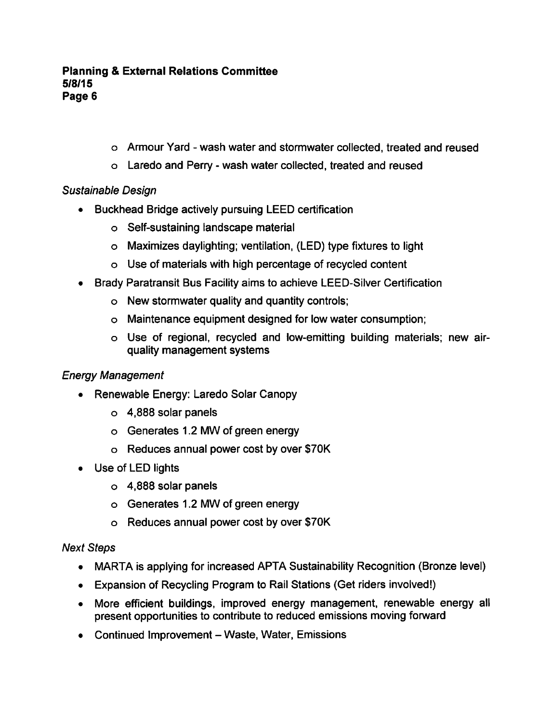- $\circ$  Armour Yard wash water and stormwater collected, treated and reused
- o Laredo and Perry wash water collected, treated and reused

# Sustainable Design

- Buckhead Bridge actively pursuing LEED certification
	- Self-sustaining landscape material
	- Maximizes daylighting; ventilation, (LED) type fixtures to light
	- Use of materials with high percentage of recycled content
- Brady Paratransit Bus Facility aims to achieve LEED-Silver Certification  $\bullet$ 
	- New stormwater quality and quantity controls;
	- Maintenance equipment designed for low water consumption;
	- Use of regional, recycled and low-emitting building materials; new airquality management systems

# Energy Management

- Renewable Energy: Laredo Solar Canopy
	- 4,888 solar panels
	- Generates 1.2 MW of green energy
	- Reduces annual power cost by over \$70K
- Use of LED lights
	- 4,888 solar panels
	- Generates 1.2 MW of green energy
	- Reduces annual power cost by over \$70K

# Next Steps

- MARTA is applying for increased APTA Sustainability Recognition (Bronze level)
- Expansion of Recycling Program to Rail Stations (Get riders involved!)
- More efficient buildings, improved energy management, renewable energy all present opportunities to contribute to reduced emissions moving forward
- $\bullet$  Continued Improvement Waste, Water, Emissions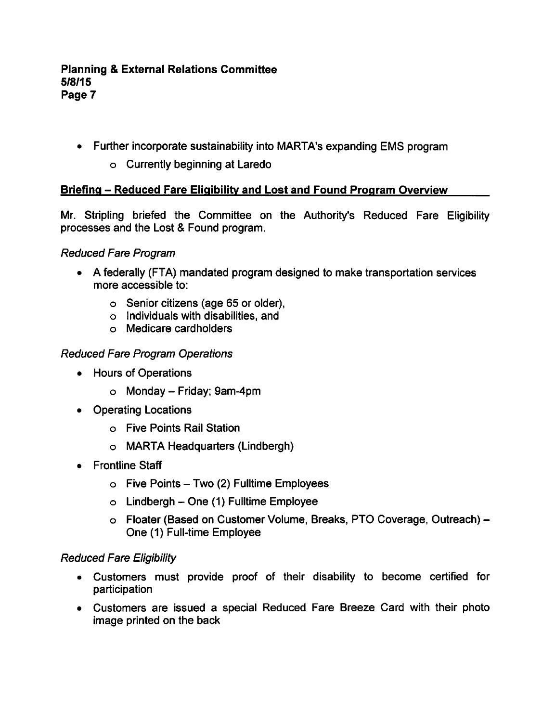- Further incorporate sustainability into MARTA's expanding EMS program
	- Currently beginning at Laredo

# Briefing – Reduced Fare Eligibility and Lost and Found Program Overview

Mr. Stripling briefed the Committee on the Authority's Reduced Fare Eligibility processes and the Lost & Found program.

# Reduced Fare Program

- A federally (FTA) mandated program designed to make transportation services more accessible to:
	- Senior citizens (age 65 or older),
	- Individuals with disabilities, and
	- Medicare cardholders

# Reduced Fare Program Operations

- Hours of Operations
	- $\circ$  Monday Friday; 9am-4pm
- Operating Locations
	- Five Points Rail Station
	- MARTA Headquarters (Lindbergh)
- Frontline Staff
	- $\circ$  Five Points Two (2) Fulltime Employees
	- $\circ$  Lindbergh One (1) Fulltime Employee
	- Floater (Based on Customer Volume, Breaks, PTO Coverage, Outreach) One (1) Full-time Employee

# Reduced Fare Eligibility

- Customers must provide proof of their disability to become certified for participation
- Customers are issued a special Reduced Fare Breeze Card with their photo image printed on the back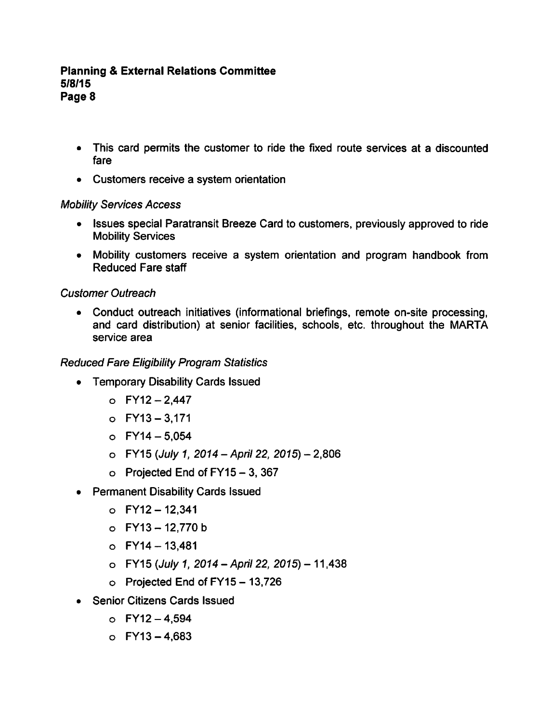- This card permits the customer to ride the fixed route services at a discounted fare
- Customers receive a system orientation

### Mobility Services Access

- Issues special Paratransit Breeze Card to customers, previously approved to ride  $\bullet$ Mobility Services
- Mobility customers receive a system orientation and program handbook from Reduced Fare staff

# Customer Outreach

Conduct outreach initiatives (informational briefings, remote on-site processing, and card distribution) at senior facilities, schools, etc. throughout the MARTA service area

# Reduced Fare Eligibility Program Statistics

- Temporary Disability Cards Issued
	- $O$  FY12 2,447
	- $O$  FY13 3,171
	- $O$  FY14 5,054
	- $O$  FY15 (July 1, 2014 April 22, 2015) 2,806
	- $\circ$  Projected End of FY15 3, 367
- Permanent Disability Cards Issued
	- $O$  FY12 12,341
	- $O$  FY13 12,770 b
	- $O$  FY14 13,481
	- $\circ$  FY15 (July 1, 2014 April 22, 2015) 11,438
	- $\circ$  Projected End of FY15 13,726
- Senior Citizens Cards Issued
	- $O$  FY12 4,594
	- $O$  FY13 4.683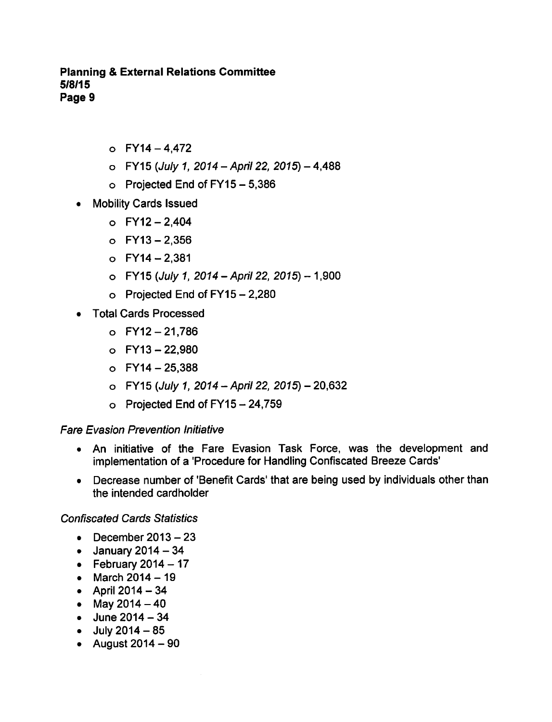- $O$  FY14 4.472
- $O$  FY15 (July 1, 2014 April 22, 2015) 4,488
- o Projected End of  $FY15 5,386$
- Mobility Cards Issued
	- $O$  FY12 2,404
	- $O$  FY13 2,356
	- $O$  FY14 2.381
	- $O$  FY15 (July 1, 2014 April 22, 2015) 1,900
	- $\circ$  Projected End of FY15 2,280
- Total Cards Processed
	- $O$  FY12 21,786
	- $O$  FY13 22,980
	- $O$  FY14 25,388
	- $O$  FY15 (July 1, 2014 April 22, 2015) 20,632
	- $\circ$  Projected End of FY15 24,759

#### Fare Evasion Prevention Initiative

- An initiative of the Fare Evasion Task Force, was the development and implementation of a 'Procedure for Handling Confiscated Breeze Cards'
- Decrease number of 'Benefit Cards' that are being used by individuals other than  $\bullet$ the intended cardholder

Confiscated Cards Statistics

- December  $2013-23$
- $\bullet$  January 2014 34
- $\bullet$  February 2014 17
- March  $2014 19$
- April  $2014 34$
- May  $2014-40$
- $\bullet$  June 2014 34
- $-$  July 2014  $-85$
- $\bullet$  August 2014 90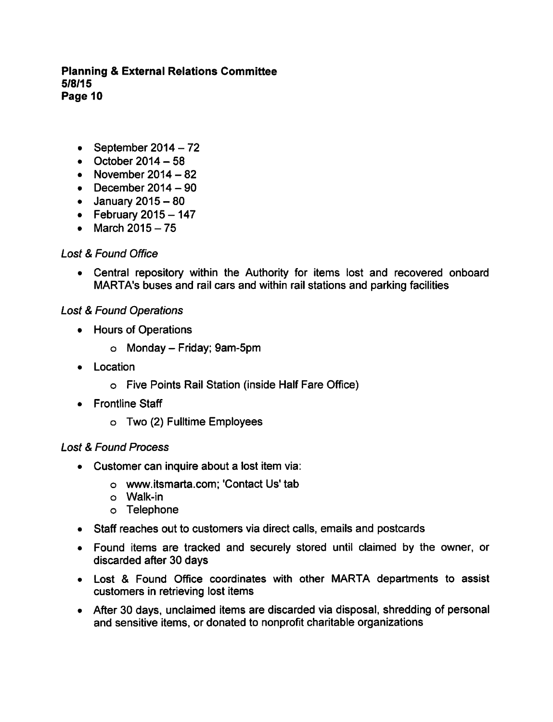- September  $2014-72$
- $\bullet$  October 2014 58
- November  $2014-82$
- $\bullet$  December 2014 90
- $\bullet$  January 2015 80
- February  $2015-147$
- March 2015-75  $\bullet$

# Lost & Found Office

Central repository within the Authority for items lost and recovered onboard  $\bullet$ MARTA's buses and rail cars and within rail stations and parking facilities

# **Lost & Found Operations**

- Hours of Operations
	- $\circ$  Monday Friday; 9am-5pm
- Location  $\bullet$ 
	- Five Points Rail Station (inside Half Fare Office)
- Frontline Staff
	- Two (2) Fulltime Employees

# Lost & Found Process

- Customer can inquire about a lost item via:
	- www.itsmarta.com; 'Contact Us' tab
	- Walk-in
	- Telephone
- Staff reaches out to customers via direct calls, emails and postcards
- Found items are tracked and securely stored until claimed by the owner, or discarded after 30 days
- Lost & Found Office coordinates with other MARTA departments to assist customers in retrieving lost items
- After 30 days, unclaimed items are discarded via disposal, shredding of personal and sensitive items, or donated to nonprofit charitable organizations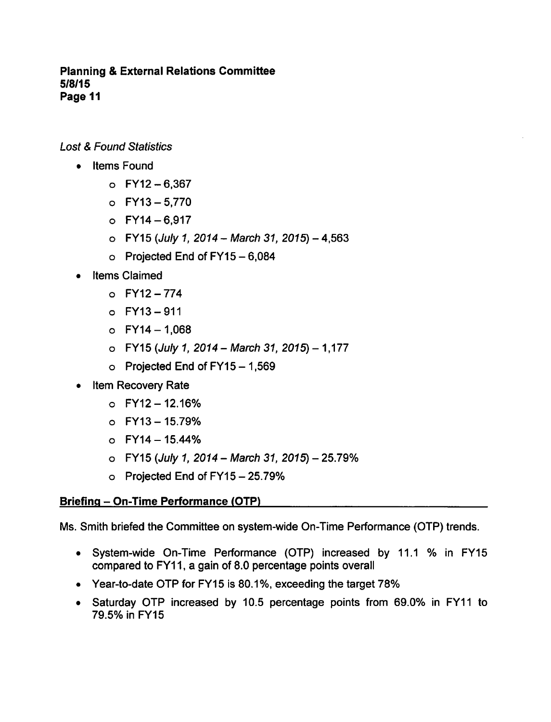**Lost & Found Statistics** 

- Items Found
	- $O$  FY12 6,367
	- $O$  FY13-5,770
	- $O$  FY14-6,917
	- $O$  FY15 (*July 1, 2014 March 31, 2015*) 4,563
	- $\circ$  Projected End of FY15 6,084
- Items Claimed
	- FY12-774
	- $O$  FY13 911
	- $O$  FY14 1,068
	- $O$  FY15 (July 1, 2014 March 31, 2015) 1,177
	- $\circ$  Projected End of FY15 1,569
- Item Recovery Rate
	- $O$  FY12 12.16%
	- $O$  FY13 15.79%
	- $O$  FY14 15.44%
	- $\circ$  FY15 (July 1, 2014 March 31, 2015) 25.79%
	- $\circ$  Projected End of FY15 25.79%

# Briefing – On-Time Performance (OTP)

Ms. Smith briefed the Committee on system-wide On-Time Performance (OTP) trends.

- System-wide On-Time Performance (OTP) increased by 11.1 % in FY15 compared to FY11, a gain of 8.0 percentage points overall
- Year-to-date OTP for FY15 is 80.1 %, exceeding the target 78%
- Saturday OTP increased by 10.5 percentage points from 69.0% in FY11 to 79.5%inFY15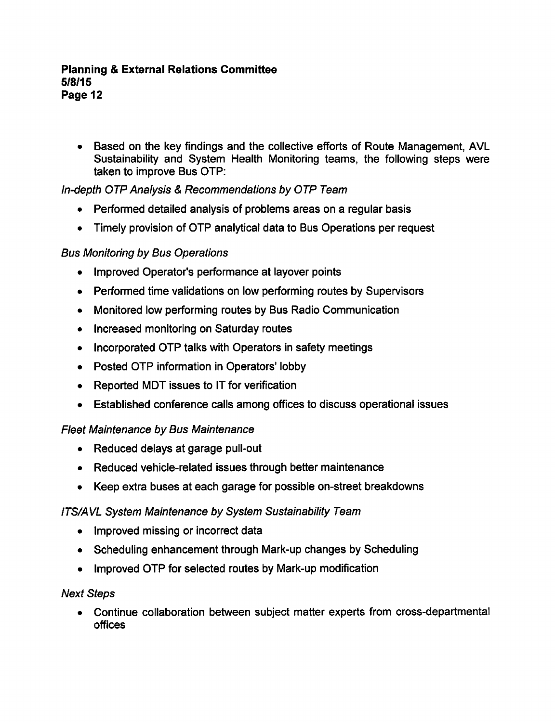Based on the key findings and the collective efforts of Route Management, AVL Sustainability and System Health Monitoring teams, the following steps were taken to improve Bus OTP:

# In-depth OTP Analysis & Recommendations by OTP Team

- Performed detailed analysis of problems areas on a regular basis  $\bullet$
- Timely provision of OTP analytical data to Bus Operations per request

# Bus Monitoring by Bus Operations

- $\bullet$ Improved Operator's performance at layover points
- Performed time validations on low performing routes by Supervisors
- Monitored low performing routes by Bus Radio Communication  $\bullet$
- Increased monitoring on Saturday routes
- Incorporated OTP talks with Operators in safety meetings
- Posted OTP information in Operators' lobby
- Reported MDT issues to IT for verification
- Established conference calls among offices to discuss operational issues

# Fleet Maintenance by Bus Maintenance

- Reduced delays at garage pull-out
- Reduced vehicle-related issues through better maintenance
- Keep extra buses at each garage for possible on-street breakdowns

# ITS/AVL System Maintenance by System Sustainability Team

- Improved missing or incorrect data
- Scheduling enhancement through Mark-up changes by Scheduling
- Improved OTP for selected routes by Mark-up modification

# Next Steps

Continue collaboration between subject matter experts from cross-departmental offices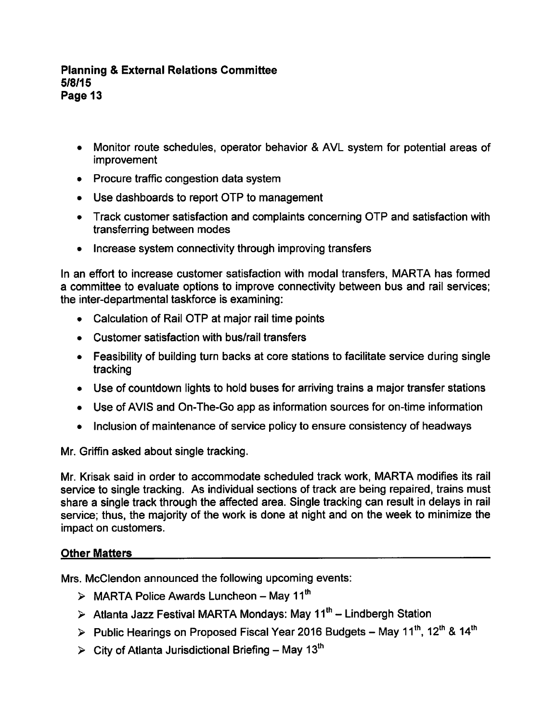- Monitor route schedules, operator behavior & AVL system for potential areas of improvement
- Procure traffic congestion data system
- Use dashboards to report OTP to management
- Track customer satisfaction and complaints concerning OTP and satisfaction with transferring between modes
- Increase system connectivity through improving transfers

In an effort to increase customer satisfaction with modal transfers, MARTA has formed committee to evaluate options to improve connectivity between bus and rail services; the inter-departmental taskforce is examining:

- Calculation of Rail OTP at major rail time points
- Customer satisfaction with bus/rail transfers
- Feasibility of building turn backs at core stations to facilitate service during single tracking
- Use of countdown lights to hold buses for arriving trains a major transfer stations
- Use of AVIS and On-The-Go app as information sources for on-time information
- Inclusion of maintenance of service policy to ensure consistency of headways

Mr. Griffin asked about single tracking.

Mr. Krisak said in order to accommodate scheduled track work, MARTA modifies its rail service to single tracking. As individual sections of track are being repaired, trains must share a single track through the affected area. Single tracking can result in delays in rail service; thus, the majority of the work is done at night and on the week to minimize the impact on customers.

### Other Matters

Mrs. McClendon announced the following upcoming events:

- $\triangleright$  MARTA Police Awards Luncheon May 11<sup>th</sup>
- $\triangleright$  Atlanta Jazz Festival MARTA Mondays: May 11<sup>th</sup> Lindbergh Station
- > Public Hearings on Proposed Fiscal Year 2016 Budgets May 11<sup>th</sup>, 12<sup>th</sup> & 14<sup>th</sup>
- $\triangleright$  City of Atlanta Jurisdictional Briefing May 13<sup>th</sup>